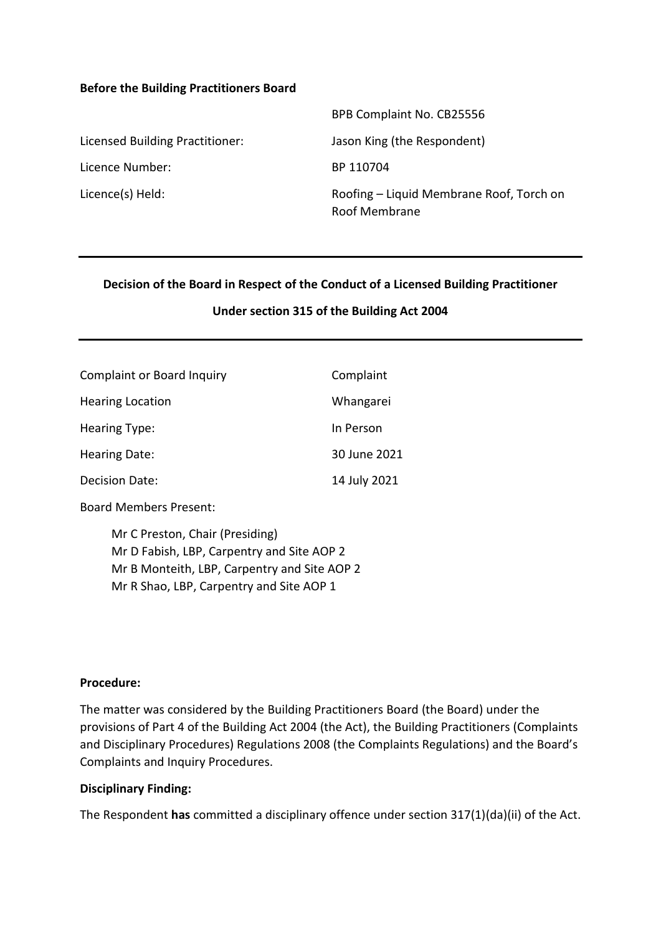#### **Before the Building Practitioners Board**

|                                 | BPB Complaint No. CB25556                                 |
|---------------------------------|-----------------------------------------------------------|
| Licensed Building Practitioner: | Jason King (the Respondent)                               |
| Licence Number:                 | BP 110704                                                 |
| Licence(s) Held:                | Roofing – Liquid Membrane Roof, Torch on<br>Roof Membrane |

#### **Decision of the Board in Respect of the Conduct of a Licensed Building Practitioner**

#### **Under section 315 of the Building Act 2004**

| <b>Complaint or Board Inquiry</b> | Complaint    |
|-----------------------------------|--------------|
| <b>Hearing Location</b>           | Whangarei    |
| Hearing Type:                     | In Person    |
| Hearing Date:                     | 30 June 2021 |
| Decision Date:                    | 14 July 2021 |

Board Members Present:

Mr C Preston, Chair (Presiding) Mr D Fabish, LBP, Carpentry and Site AOP 2 Mr B Monteith, LBP, Carpentry and Site AOP 2 Mr R Shao, LBP, Carpentry and Site AOP 1

#### **Procedure:**

The matter was considered by the Building Practitioners Board (the Board) under the provisions of Part 4 of the Building Act 2004 (the Act), the Building Practitioners (Complaints and Disciplinary Procedures) Regulations 2008 (the Complaints Regulations) and the Board's Complaints and Inquiry Procedures.

#### **Disciplinary Finding:**

The Respondent **has** committed a disciplinary offence under section 317(1)(da)(ii) of the Act.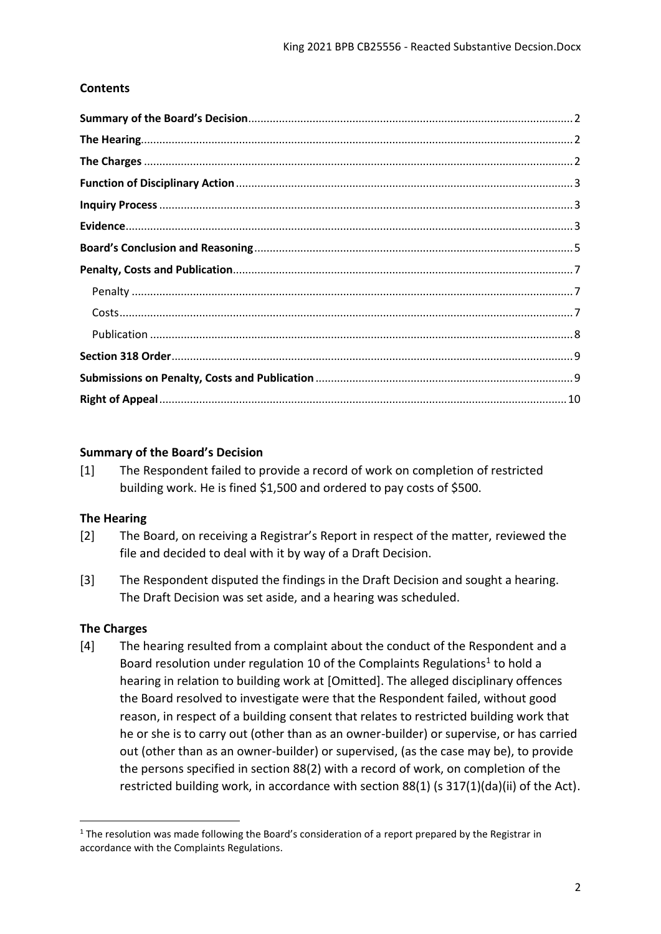### **Contents**

### <span id="page-1-0"></span>**Summary of the Board's Decision**

[1] The Respondent failed to provide a record of work on completion of restricted building work. He is fined \$1,500 and ordered to pay costs of \$500.

### <span id="page-1-1"></span>**The Hearing**

- [2] The Board, on receiving a Registrar's Report in respect of the matter, reviewed the file and decided to deal with it by way of a Draft Decision.
- [3] The Respondent disputed the findings in the Draft Decision and sought a hearing. The Draft Decision was set aside, and a hearing was scheduled.

### <span id="page-1-2"></span>**The Charges**

1

[4] The hearing resulted from a complaint about the conduct of the Respondent and a Board resolution under regulation 10 of the Complaints Regulations<sup>1</sup> to hold a hearing in relation to building work at [Omitted]. The alleged disciplinary offences the Board resolved to investigate were that the Respondent failed, without good reason, in respect of a building consent that relates to restricted building work that he or she is to carry out (other than as an owner-builder) or supervise, or has carried out (other than as an owner-builder) or supervised, (as the case may be), to provide the persons specified in section 88(2) with a record of work, on completion of the restricted building work, in accordance with section 88(1) (s 317(1)(da)(ii) of the Act).

 $1$  The resolution was made following the Board's consideration of a report prepared by the Registrar in accordance with the Complaints Regulations.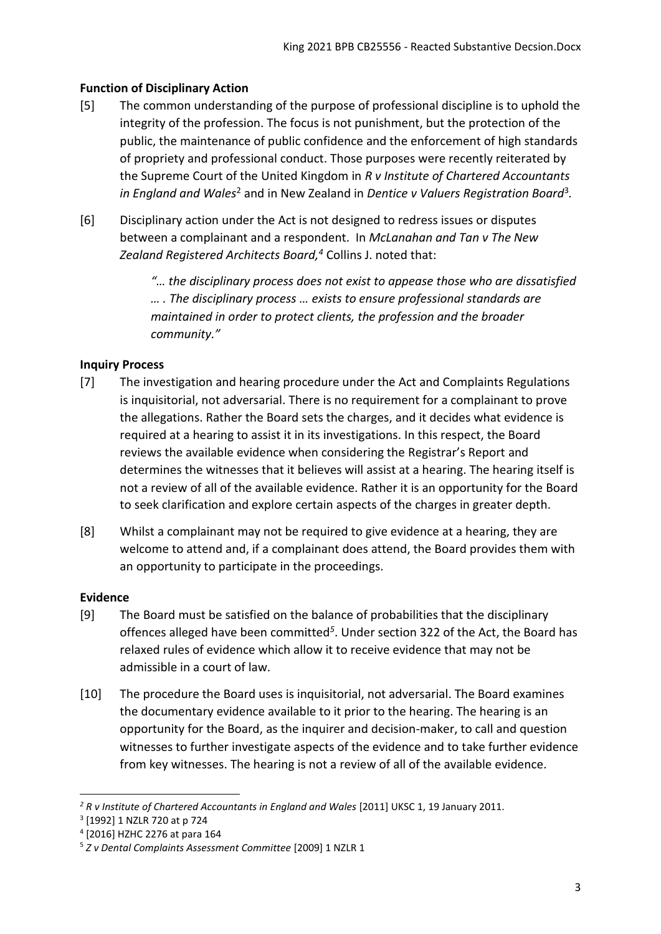# <span id="page-2-0"></span>**Function of Disciplinary Action**

- [5] The common understanding of the purpose of professional discipline is to uphold the integrity of the profession. The focus is not punishment, but the protection of the public, the maintenance of public confidence and the enforcement of high standards of propriety and professional conduct. Those purposes were recently reiterated by the Supreme Court of the United Kingdom in *R v Institute of Chartered Accountants*  in England and Wales<sup>2</sup> and in New Zealand in Dentice v Valuers Registration Board<sup>3</sup>.
- [6] Disciplinary action under the Act is not designed to redress issues or disputes between a complainant and a respondent. In *McLanahan and Tan v The New Zealand Registered Architects Board, <sup>4</sup>* Collins J. noted that:

*"… the disciplinary process does not exist to appease those who are dissatisfied … . The disciplinary process … exists to ensure professional standards are maintained in order to protect clients, the profession and the broader community."*

# <span id="page-2-1"></span>**Inquiry Process**

- [7] The investigation and hearing procedure under the Act and Complaints Regulations is inquisitorial, not adversarial. There is no requirement for a complainant to prove the allegations. Rather the Board sets the charges, and it decides what evidence is required at a hearing to assist it in its investigations. In this respect, the Board reviews the available evidence when considering the Registrar's Report and determines the witnesses that it believes will assist at a hearing. The hearing itself is not a review of all of the available evidence. Rather it is an opportunity for the Board to seek clarification and explore certain aspects of the charges in greater depth.
- [8] Whilst a complainant may not be required to give evidence at a hearing, they are welcome to attend and, if a complainant does attend, the Board provides them with an opportunity to participate in the proceedings.

# <span id="page-2-2"></span>**Evidence**

1

- [9] The Board must be satisfied on the balance of probabilities that the disciplinary offences alleged have been committed*<sup>5</sup>* . Under section 322 of the Act, the Board has relaxed rules of evidence which allow it to receive evidence that may not be admissible in a court of law.
- [10] The procedure the Board uses is inquisitorial, not adversarial. The Board examines the documentary evidence available to it prior to the hearing. The hearing is an opportunity for the Board, as the inquirer and decision-maker, to call and question witnesses to further investigate aspects of the evidence and to take further evidence from key witnesses. The hearing is not a review of all of the available evidence.

<sup>&</sup>lt;sup>2</sup> R v Institute of Chartered Accountants in England and Wales [2011] UKSC 1, 19 January 2011.

<sup>3</sup> [1992] 1 NZLR 720 at p 724

<sup>4</sup> [2016] HZHC 2276 at para 164

<sup>5</sup> *Z v Dental Complaints Assessment Committee* [2009] 1 NZLR 1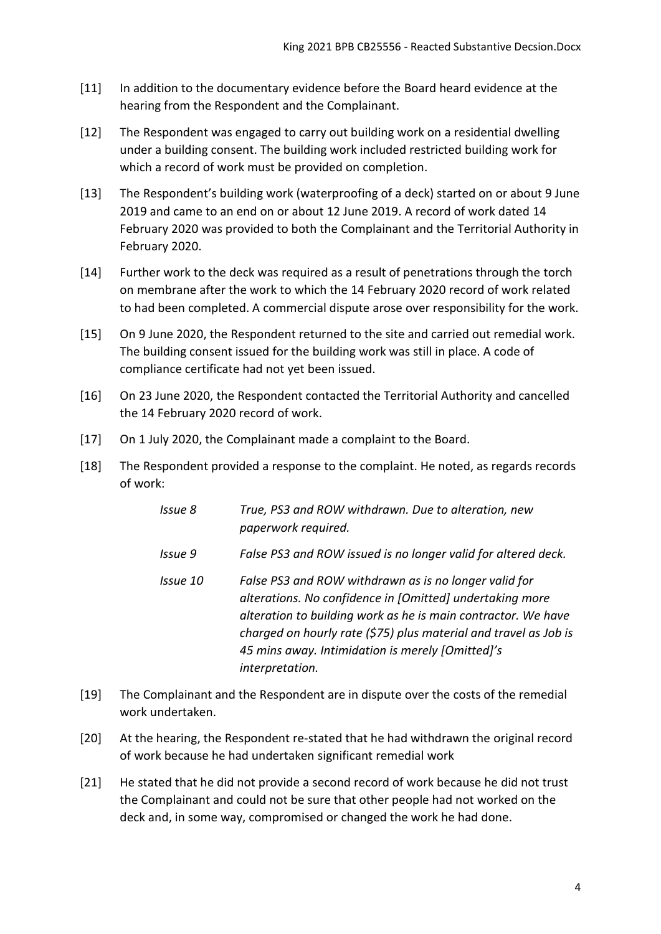- [11] In addition to the documentary evidence before the Board heard evidence at the hearing from the Respondent and the Complainant.
- [12] The Respondent was engaged to carry out building work on a residential dwelling under a building consent. The building work included restricted building work for which a record of work must be provided on completion.
- [13] The Respondent's building work (waterproofing of a deck) started on or about 9 June 2019 and came to an end on or about 12 June 2019. A record of work dated 14 February 2020 was provided to both the Complainant and the Territorial Authority in February 2020.
- [14] Further work to the deck was required as a result of penetrations through the torch on membrane after the work to which the 14 February 2020 record of work related to had been completed. A commercial dispute arose over responsibility for the work.
- [15] On 9 June 2020, the Respondent returned to the site and carried out remedial work. The building consent issued for the building work was still in place. A code of compliance certificate had not yet been issued.
- [16] On 23 June 2020, the Respondent contacted the Territorial Authority and cancelled the 14 February 2020 record of work.
- [17] On 1 July 2020, the Complainant made a complaint to the Board.
- [18] The Respondent provided a response to the complaint. He noted, as regards records of work:
	- *Issue 8 True, PS3 and ROW withdrawn. Due to alteration, new paperwork required.*
	- *Issue 9 False PS3 and ROW issued is no longer valid for altered deck.*
	- *Issue 10 False PS3 and ROW withdrawn as is no longer valid for alterations. No confidence in [Omitted] undertaking more alteration to building work as he is main contractor. We have charged on hourly rate (\$75) plus material and travel as Job is 45 mins away. Intimidation is merely [Omitted]'s interpretation.*
- [19] The Complainant and the Respondent are in dispute over the costs of the remedial work undertaken.
- [20] At the hearing, the Respondent re-stated that he had withdrawn the original record of work because he had undertaken significant remedial work
- [21] He stated that he did not provide a second record of work because he did not trust the Complainant and could not be sure that other people had not worked on the deck and, in some way, compromised or changed the work he had done.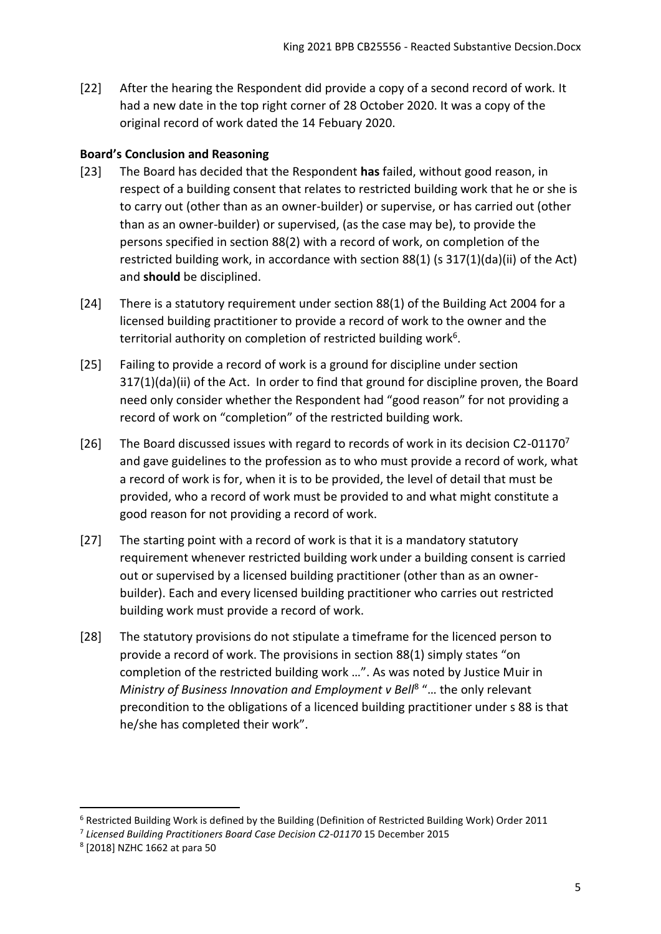[22] After the hearing the Respondent did provide a copy of a second record of work. It had a new date in the top right corner of 28 October 2020. It was a copy of the original record of work dated the 14 Febuary 2020.

# <span id="page-4-0"></span>**Board's Conclusion and Reasoning**

- [23] The Board has decided that the Respondent **has** failed, without good reason, in respect of a building consent that relates to restricted building work that he or she is to carry out (other than as an owner-builder) or supervise, or has carried out (other than as an owner-builder) or supervised, (as the case may be), to provide the persons specified in section 88(2) with a record of work, on completion of the restricted building work, in accordance with section 88(1) (s 317(1)(da)(ii) of the Act) and **should** be disciplined.
- [24] There is a statutory requirement under section 88(1) of the Building Act 2004 for a licensed building practitioner to provide a record of work to the owner and the territorial authority on completion of restricted building work<sup>6</sup>.
- [25] Failing to provide a record of work is a ground for discipline under section 317(1)(da)(ii) of the Act. In order to find that ground for discipline proven, the Board need only consider whether the Respondent had "good reason" for not providing a record of work on "completion" of the restricted building work.
- [26] The Board discussed issues with regard to records of work in its decision C2-01170<sup>7</sup> and gave guidelines to the profession as to who must provide a record of work, what a record of work is for, when it is to be provided, the level of detail that must be provided, who a record of work must be provided to and what might constitute a good reason for not providing a record of work.
- [27] The starting point with a record of work is that it is a mandatory statutory requirement whenever restricted building work under a building consent is carried out or supervised by a licensed building practitioner (other than as an ownerbuilder). Each and every licensed building practitioner who carries out restricted building work must provide a record of work.
- [28] The statutory provisions do not stipulate a timeframe for the licenced person to provide a record of work. The provisions in section 88(1) simply states "on completion of the restricted building work …". As was noted by Justice Muir in Ministry of Business Innovation and Employment v Bell<sup>8</sup> "... the only relevant precondition to the obligations of a licenced building practitioner under s 88 is that he/she has completed their work".

**.** 

<sup>6</sup> Restricted Building Work is defined by the Building (Definition of Restricted Building Work) Order 2011

<sup>&</sup>lt;sup>7</sup> Licensed Building Practitioners Board Case Decision C2-01170 15 December 2015

<sup>8</sup> [2018] NZHC 1662 at para 50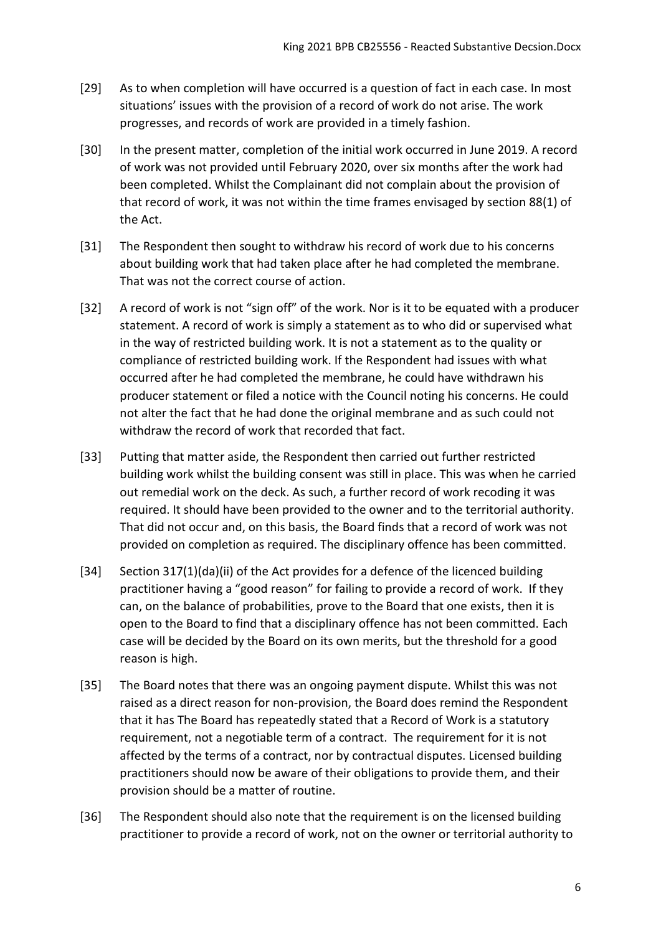- [29] As to when completion will have occurred is a question of fact in each case. In most situations' issues with the provision of a record of work do not arise. The work progresses, and records of work are provided in a timely fashion.
- [30] In the present matter, completion of the initial work occurred in June 2019. A record of work was not provided until February 2020, over six months after the work had been completed. Whilst the Complainant did not complain about the provision of that record of work, it was not within the time frames envisaged by section 88(1) of the Act.
- [31] The Respondent then sought to withdraw his record of work due to his concerns about building work that had taken place after he had completed the membrane. That was not the correct course of action.
- [32] A record of work is not "sign off" of the work. Nor is it to be equated with a producer statement. A record of work is simply a statement as to who did or supervised what in the way of restricted building work. It is not a statement as to the quality or compliance of restricted building work. If the Respondent had issues with what occurred after he had completed the membrane, he could have withdrawn his producer statement or filed a notice with the Council noting his concerns. He could not alter the fact that he had done the original membrane and as such could not withdraw the record of work that recorded that fact.
- [33] Putting that matter aside, the Respondent then carried out further restricted building work whilst the building consent was still in place. This was when he carried out remedial work on the deck. As such, a further record of work recoding it was required. It should have been provided to the owner and to the territorial authority. That did not occur and, on this basis, the Board finds that a record of work was not provided on completion as required. The disciplinary offence has been committed.
- [34] Section 317(1)(da)(ii) of the Act provides for a defence of the licenced building practitioner having a "good reason" for failing to provide a record of work. If they can, on the balance of probabilities, prove to the Board that one exists, then it is open to the Board to find that a disciplinary offence has not been committed. Each case will be decided by the Board on its own merits, but the threshold for a good reason is high.
- [35] The Board notes that there was an ongoing payment dispute. Whilst this was not raised as a direct reason for non-provision, the Board does remind the Respondent that it has The Board has repeatedly stated that a Record of Work is a statutory requirement, not a negotiable term of a contract. The requirement for it is not affected by the terms of a contract, nor by contractual disputes. Licensed building practitioners should now be aware of their obligations to provide them, and their provision should be a matter of routine.
- [36] The Respondent should also note that the requirement is on the licensed building practitioner to provide a record of work, not on the owner or territorial authority to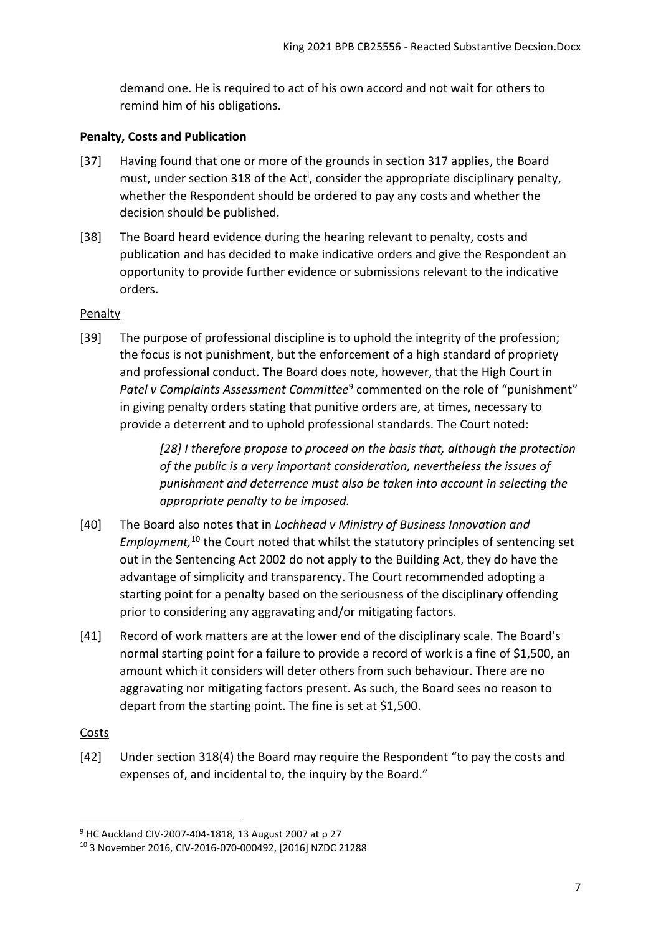demand one. He is required to act of his own accord and not wait for others to remind him of his obligations.

# <span id="page-6-0"></span>**Penalty, Costs and Publication**

- [37] Having found that one or more of the grounds in section 317 applies, the Board must, under section 318 of the Act<sup>i</sup>, consider the appropriate disciplinary penalty, whether the Respondent should be ordered to pay any costs and whether the decision should be published.
- [38] The Board heard evidence during the hearing relevant to penalty, costs and publication and has decided to make indicative orders and give the Respondent an opportunity to provide further evidence or submissions relevant to the indicative orders.

# <span id="page-6-1"></span>Penalty

[39] The purpose of professional discipline is to uphold the integrity of the profession; the focus is not punishment, but the enforcement of a high standard of propriety and professional conduct. The Board does note, however, that the High Court in Patel v Complaints Assessment Committee<sup>9</sup> commented on the role of "punishment" in giving penalty orders stating that punitive orders are, at times, necessary to provide a deterrent and to uphold professional standards. The Court noted:

> *[28] I therefore propose to proceed on the basis that, although the protection of the public is a very important consideration, nevertheless the issues of punishment and deterrence must also be taken into account in selecting the appropriate penalty to be imposed.*

- [40] The Board also notes that in *Lochhead v Ministry of Business Innovation and Employment,* <sup>10</sup> the Court noted that whilst the statutory principles of sentencing set out in the Sentencing Act 2002 do not apply to the Building Act, they do have the advantage of simplicity and transparency. The Court recommended adopting a starting point for a penalty based on the seriousness of the disciplinary offending prior to considering any aggravating and/or mitigating factors.
- [41] Record of work matters are at the lower end of the disciplinary scale. The Board's normal starting point for a failure to provide a record of work is a fine of \$1,500, an amount which it considers will deter others from such behaviour. There are no aggravating nor mitigating factors present. As such, the Board sees no reason to depart from the starting point. The fine is set at \$1,500.

# <span id="page-6-2"></span>**Costs**

1

[42] Under section 318(4) the Board may require the Respondent "to pay the costs and expenses of, and incidental to, the inquiry by the Board."

<sup>9</sup> HC Auckland CIV-2007-404-1818, 13 August 2007 at p 27

<sup>10</sup> 3 November 2016, CIV-2016-070-000492, [2016] NZDC 21288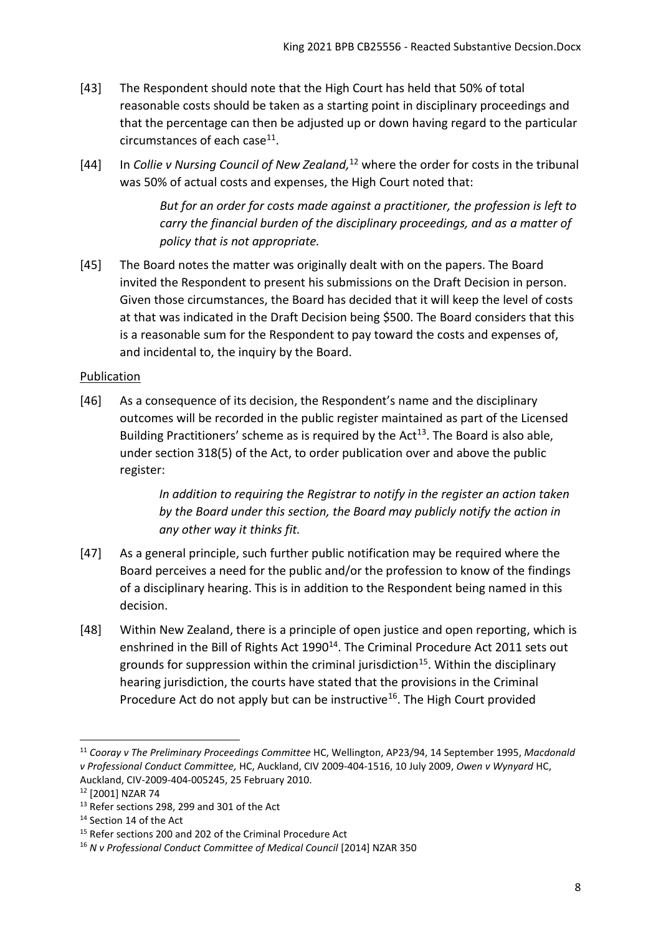- [43] The Respondent should note that the High Court has held that 50% of total reasonable costs should be taken as a starting point in disciplinary proceedings and that the percentage can then be adjusted up or down having regard to the particular circumstances of each case<sup>11</sup>.
- [44] In *Collie v Nursing Council of New Zealand*,<sup>12</sup> where the order for costs in the tribunal was 50% of actual costs and expenses, the High Court noted that:

*But for an order for costs made against a practitioner, the profession is left to carry the financial burden of the disciplinary proceedings, and as a matter of policy that is not appropriate.*

[45] The Board notes the matter was originally dealt with on the papers. The Board invited the Respondent to present his submissions on the Draft Decision in person. Given those circumstances, the Board has decided that it will keep the level of costs at that was indicated in the Draft Decision being \$500. The Board considers that this is a reasonable sum for the Respondent to pay toward the costs and expenses of, and incidental to, the inquiry by the Board.

# <span id="page-7-0"></span>Publication

[46] As a consequence of its decision, the Respondent's name and the disciplinary outcomes will be recorded in the public register maintained as part of the Licensed Building Practitioners' scheme as is required by the Act<sup>13</sup>. The Board is also able, under section 318(5) of the Act, to order publication over and above the public register:

> *In addition to requiring the Registrar to notify in the register an action taken by the Board under this section, the Board may publicly notify the action in any other way it thinks fit.*

- [47] As a general principle, such further public notification may be required where the Board perceives a need for the public and/or the profession to know of the findings of a disciplinary hearing. This is in addition to the Respondent being named in this decision.
- [48] Within New Zealand, there is a principle of open justice and open reporting, which is enshrined in the Bill of Rights Act 1990<sup>14</sup>. The Criminal Procedure Act 2011 sets out grounds for suppression within the criminal jurisdiction<sup>15</sup>. Within the disciplinary hearing jurisdiction, the courts have stated that the provisions in the Criminal Procedure Act do not apply but can be instructive<sup>16</sup>. The High Court provided

1

<sup>11</sup> *Cooray v The Preliminary Proceedings Committee* HC, Wellington, AP23/94, 14 September 1995, *Macdonald v Professional Conduct Committee,* HC, Auckland, CIV 2009-404-1516, 10 July 2009, *Owen v Wynyard* HC, Auckland, CIV-2009-404-005245, 25 February 2010.

<sup>12</sup> [2001] NZAR 74

<sup>&</sup>lt;sup>13</sup> Refer sections 298, 299 and 301 of the Act

<sup>&</sup>lt;sup>14</sup> Section 14 of the Act

<sup>&</sup>lt;sup>15</sup> Refer sections 200 and 202 of the Criminal Procedure Act

<sup>16</sup> *N v Professional Conduct Committee of Medical Council* [2014] NZAR 350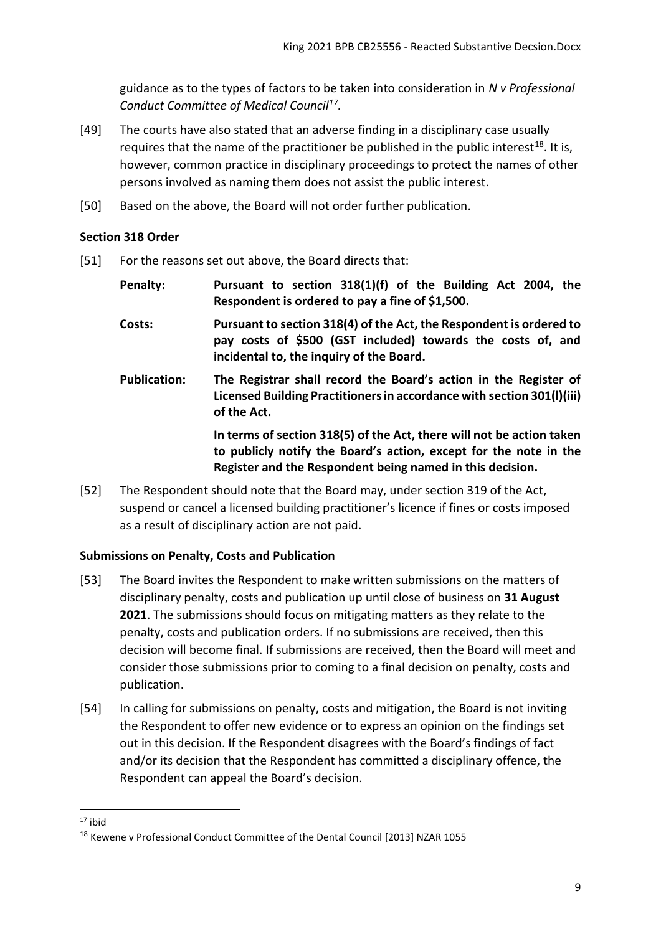guidance as to the types of factors to be taken into consideration in *N v Professional Conduct Committee of Medical Council<sup>17</sup> .*

- [49] The courts have also stated that an adverse finding in a disciplinary case usually requires that the name of the practitioner be published in the public interest<sup>18</sup>. It is, however, common practice in disciplinary proceedings to protect the names of other persons involved as naming them does not assist the public interest.
- [50] Based on the above, the Board will not order further publication.

### <span id="page-8-0"></span>**Section 318 Order**

- [51] For the reasons set out above, the Board directs that:
	- **Penalty: Pursuant to section 318(1)(f) of the Building Act 2004, the Respondent is ordered to pay a fine of \$1,500.**
	- **Costs: Pursuant to section 318(4) of the Act, the Respondent is ordered to pay costs of \$500 (GST included) towards the costs of, and incidental to, the inquiry of the Board.**
	- **Publication: The Registrar shall record the Board's action in the Register of Licensed Building Practitioners in accordance with section 301(l)(iii) of the Act.**

**In terms of section 318(5) of the Act, there will not be action taken to publicly notify the Board's action, except for the note in the Register and the Respondent being named in this decision.**

[52] The Respondent should note that the Board may, under section 319 of the Act, suspend or cancel a licensed building practitioner's licence if fines or costs imposed as a result of disciplinary action are not paid.

# <span id="page-8-1"></span>**Submissions on Penalty, Costs and Publication**

- [53] The Board invites the Respondent to make written submissions on the matters of disciplinary penalty, costs and publication up until close of business on **31 August 2021**. The submissions should focus on mitigating matters as they relate to the penalty, costs and publication orders. If no submissions are received, then this decision will become final. If submissions are received, then the Board will meet and consider those submissions prior to coming to a final decision on penalty, costs and publication.
- [54] In calling for submissions on penalty, costs and mitigation, the Board is not inviting the Respondent to offer new evidence or to express an opinion on the findings set out in this decision. If the Respondent disagrees with the Board's findings of fact and/or its decision that the Respondent has committed a disciplinary offence, the Respondent can appeal the Board's decision.

1

 $17$  ibid

<sup>18</sup> Kewene v Professional Conduct Committee of the Dental Council [2013] NZAR 1055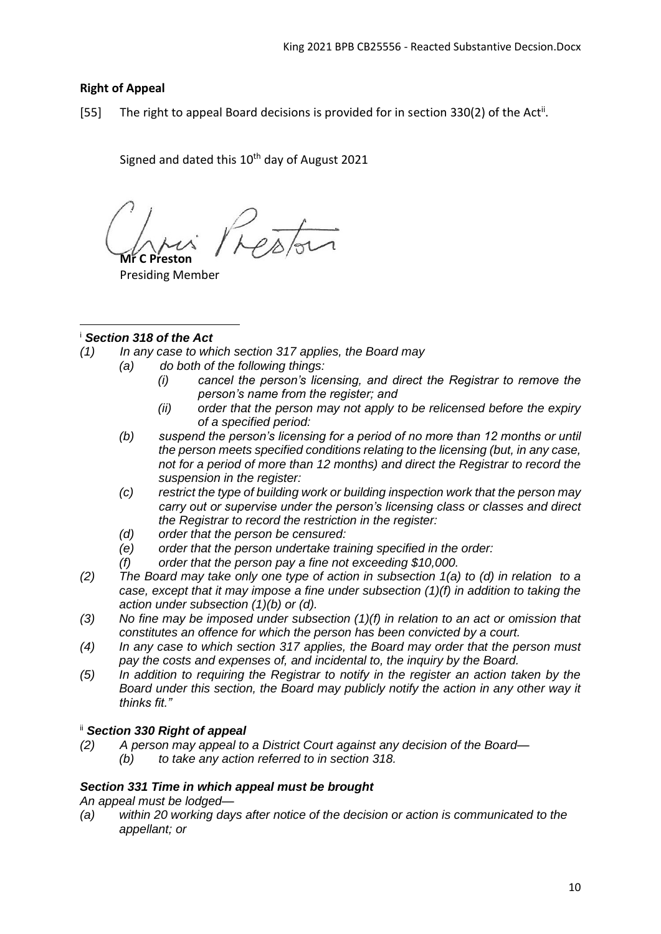# <span id="page-9-0"></span>**Right of Appeal**

[55] The right to appeal Board decisions is provided for in section 330(2) of the Act<sup>ii</sup>.

Signed and dated this  $10^{th}$  day of August 2021

**Mr C Preston**

Presiding Member

#### <sup>i</sup> *Section 318 of the Act* 1

- *(1) In any case to which section 317 applies, the Board may*
	- *(a) do both of the following things:*
		- *(i) cancel the person's licensing, and direct the Registrar to remove the person's name from the register; and*
		- *(ii) order that the person may not apply to be relicensed before the expiry of a specified period:*
	- *(b) suspend the person's licensing for a period of no more than 12 months or until the person meets specified conditions relating to the licensing (but, in any case, not for a period of more than 12 months) and direct the Registrar to record the suspension in the register:*
	- *(c) restrict the type of building work or building inspection work that the person may carry out or supervise under the person's licensing class or classes and direct the Registrar to record the restriction in the register:*
	- *(d) order that the person be censured:*
	- *(e) order that the person undertake training specified in the order:*
	- *(f) order that the person pay a fine not exceeding \$10,000.*
- *(2) The Board may take only one type of action in subsection 1(a) to (d) in relation to a case, except that it may impose a fine under subsection (1)(f) in addition to taking the action under subsection (1)(b) or (d).*
- *(3) No fine may be imposed under subsection (1)(f) in relation to an act or omission that constitutes an offence for which the person has been convicted by a court.*
- *(4) In any case to which section 317 applies, the Board may order that the person must pay the costs and expenses of, and incidental to, the inquiry by the Board.*
- *(5) In addition to requiring the Registrar to notify in the register an action taken by the Board under this section, the Board may publicly notify the action in any other way it thinks fit."*

# ii *Section 330 Right of appeal*

- *(2) A person may appeal to a District Court against any decision of the Board—*
	- *(b) to take any action referred to in section 318.*

# *Section 331 Time in which appeal must be brought*

*An appeal must be lodged—*

*(a) within 20 working days after notice of the decision or action is communicated to the appellant; or*